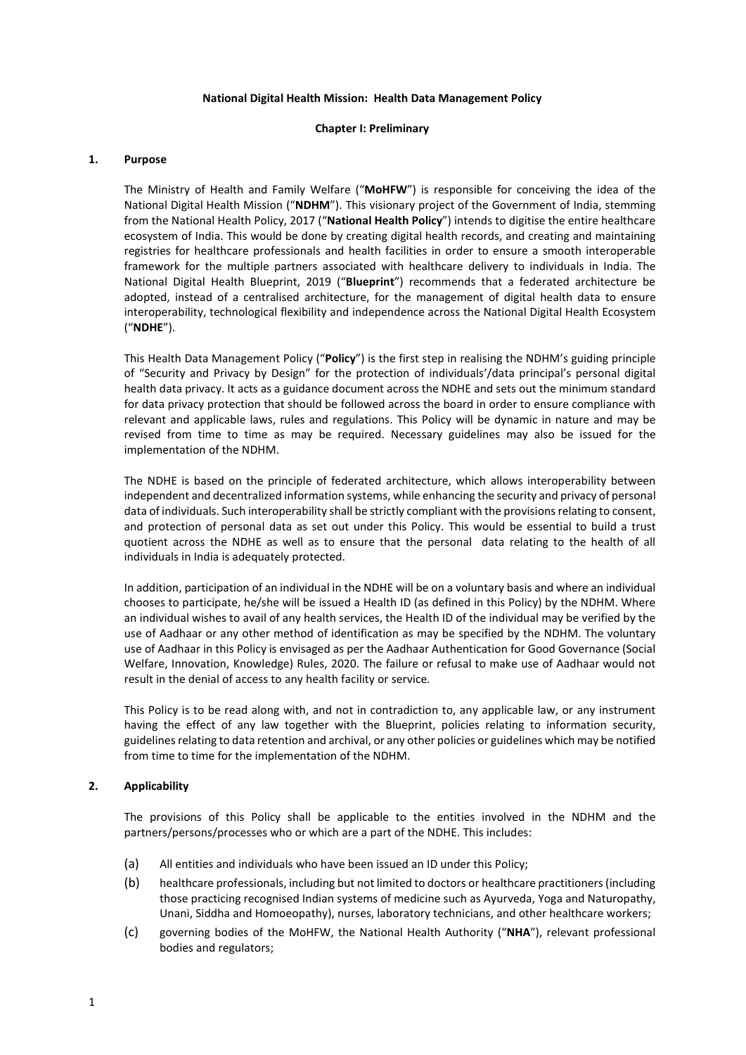### National Digital Health Mission: Health Data Management Policy

### Chapter I: Preliminary

### 1. Purpose

The Ministry of Health and Family Welfare ("MoHFW") is responsible for conceiving the idea of the National Digital Health Mission ("NDHM"). This visionary project of the Government of India, stemming from the National Health Policy, 2017 ("National Health Policy") intends to digitise the entire healthcare ecosystem of India. This would be done by creating digital health records, and creating and maintaining registries for healthcare professionals and health facilities in order to ensure a smooth interoperable framework for the multiple partners associated with healthcare delivery to individuals in India. The National Digital Health Blueprint, 2019 ("Blueprint") recommends that a federated architecture be adopted, instead of a centralised architecture, for the management of digital health data to ensure interoperability, technological flexibility and independence across the National Digital Health Ecosystem ("NDHE").

This Health Data Management Policy ("Policy") is the first step in realising the NDHM's guiding principle of "Security and Privacy by Design" for the protection of individuals'/data principal's personal digital health data privacy. It acts as a guidance document across the NDHE and sets out the minimum standard for data privacy protection that should be followed across the board in order to ensure compliance with relevant and applicable laws, rules and regulations. This Policy will be dynamic in nature and may be revised from time to time as may be required. Necessary guidelines may also be issued for the implementation of the NDHM.

The NDHE is based on the principle of federated architecture, which allows interoperability between independent and decentralized information systems, while enhancing the security and privacy of personal data of individuals. Such interoperability shall be strictly compliant with the provisions relating to consent, and protection of personal data as set out under this Policy. This would be essential to build a trust quotient across the NDHE as well as to ensure that the personal data relating to the health of all individuals in India is adequately protected.

In addition, participation of an individual in the NDHE will be on a voluntary basis and where an individual chooses to participate, he/she will be issued a Health ID (as defined in this Policy) by the NDHM. Where an individual wishes to avail of any health services, the Health ID of the individual may be verified by the use of Aadhaar or any other method of identification as may be specified by the NDHM. The voluntary use of Aadhaar in this Policy is envisaged as per the Aadhaar Authentication for Good Governance (Social Welfare, Innovation, Knowledge) Rules, 2020. The failure or refusal to make use of Aadhaar would not result in the denial of access to any health facility or service.

This Policy is to be read along with, and not in contradiction to, any applicable law, or any instrument having the effect of any law together with the Blueprint, policies relating to information security, guidelines relating to data retention and archival, or any other policies or guidelines which may be notified from time to time for the implementation of the NDHM.

# 2. Applicability

The provisions of this Policy shall be applicable to the entities involved in the NDHM and the partners/persons/processes who or which are a part of the NDHE. This includes:

- (a) All entities and individuals who have been issued an ID under this Policy;
- (b) healthcare professionals, including but not limited to doctors or healthcare practitioners (including those practicing recognised Indian systems of medicine such as Ayurveda, Yoga and Naturopathy, Unani, Siddha and Homoeopathy), nurses, laboratory technicians, and other healthcare workers;
- (c) governing bodies of the MoHFW, the National Health Authority ("NHA"), relevant professional bodies and regulators;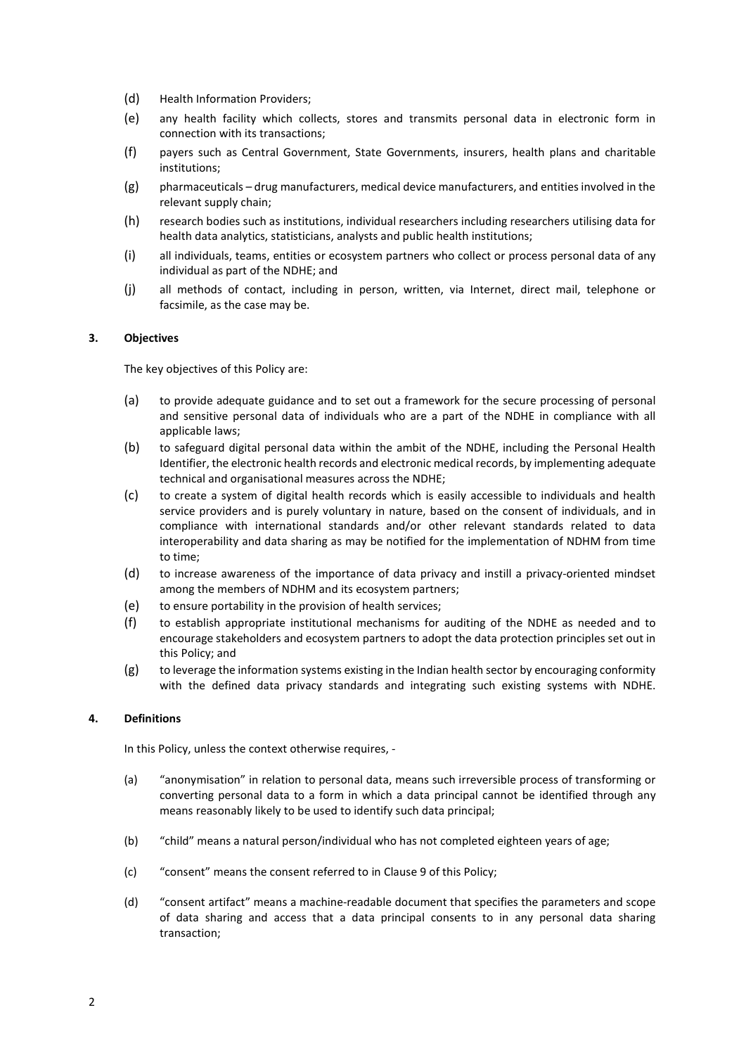- (d) Health Information Providers;
- (e) any health facility which collects, stores and transmits personal data in electronic form in connection with its transactions;
- (f) payers such as Central Government, State Governments, insurers, health plans and charitable institutions;
- (g) pharmaceuticals drug manufacturers, medical device manufacturers, and entities involved in the relevant supply chain;
- (h) research bodies such as institutions, individual researchers including researchers utilising data for health data analytics, statisticians, analysts and public health institutions;
- (i) all individuals, teams, entities or ecosystem partners who collect or process personal data of any individual as part of the NDHE; and
- (j) all methods of contact, including in person, written, via Internet, direct mail, telephone or facsimile, as the case may be.

### 3. Objectives

The key objectives of this Policy are:

- (a) to provide adequate guidance and to set out a framework for the secure processing of personal and sensitive personal data of individuals who are a part of the NDHE in compliance with all applicable laws;
- (b) to safeguard digital personal data within the ambit of the NDHE, including the Personal Health Identifier, the electronic health records and electronic medical records, by implementing adequate technical and organisational measures across the NDHE;
- (c) to create a system of digital health records which is easily accessible to individuals and health service providers and is purely voluntary in nature, based on the consent of individuals, and in compliance with international standards and/or other relevant standards related to data interoperability and data sharing as may be notified for the implementation of NDHM from time to time;
- (d) to increase awareness of the importance of data privacy and instill a privacy-oriented mindset among the members of NDHM and its ecosystem partners;
- (e) to ensure portability in the provision of health services;
- (f) to establish appropriate institutional mechanisms for auditing of the NDHE as needed and to encourage stakeholders and ecosystem partners to adopt the data protection principles set out in this Policy; and
- $(g)$  to leverage the information systems existing in the Indian health sector by encouraging conformity with the defined data privacy standards and integrating such existing systems with NDHE.

### 4. Definitions

In this Policy, unless the context otherwise requires, -

- (a) "anonymisation" in relation to personal data, means such irreversible process of transforming or converting personal data to a form in which a data principal cannot be identified through any means reasonably likely to be used to identify such data principal;
- (b) "child" means a natural person/individual who has not completed eighteen years of age;
- (c) "consent" means the consent referred to in Clause 9 of this Policy;
- (d) "consent artifact" means a machine-readable document that specifies the parameters and scope of data sharing and access that a data principal consents to in any personal data sharing transaction;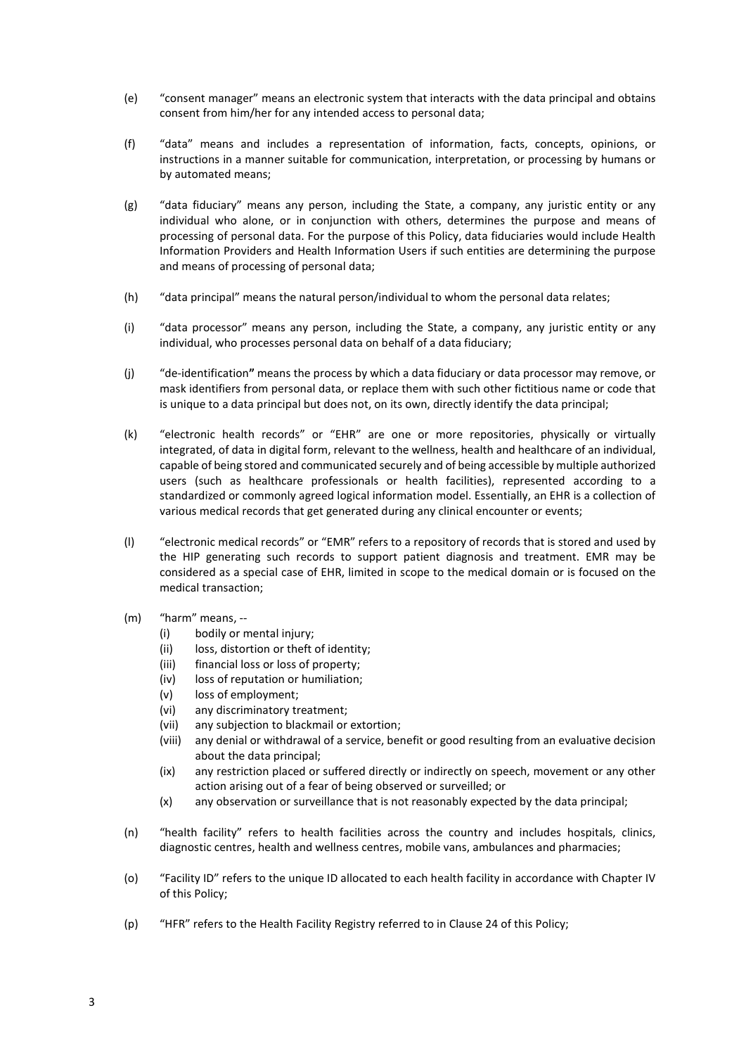- (e) "consent manager" means an electronic system that interacts with the data principal and obtains consent from him/her for any intended access to personal data;
- (f) "data" means and includes a representation of information, facts, concepts, opinions, or instructions in a manner suitable for communication, interpretation, or processing by humans or by automated means;
- (g) "data fiduciary" means any person, including the State, a company, any juristic entity or any individual who alone, or in conjunction with others, determines the purpose and means of processing of personal data. For the purpose of this Policy, data fiduciaries would include Health Information Providers and Health Information Users if such entities are determining the purpose and means of processing of personal data;
- (h) "data principal" means the natural person/individual to whom the personal data relates;
- (i) "data processor" means any person, including the State, a company, any juristic entity or any individual, who processes personal data on behalf of a data fiduciary;
- (j) "de-identification" means the process by which a data fiduciary or data processor may remove, or mask identifiers from personal data, or replace them with such other fictitious name or code that is unique to a data principal but does not, on its own, directly identify the data principal;
- (k) "electronic health records" or "EHR" are one or more repositories, physically or virtually integrated, of data in digital form, relevant to the wellness, health and healthcare of an individual, capable of being stored and communicated securely and of being accessible by multiple authorized users (such as healthcare professionals or health facilities), represented according to a standardized or commonly agreed logical information model. Essentially, an EHR is a collection of various medical records that get generated during any clinical encounter or events;
- (l) "electronic medical records" or "EMR" refers to a repository of records that is stored and used by the HIP generating such records to support patient diagnosis and treatment. EMR may be considered as a special case of EHR, limited in scope to the medical domain or is focused on the medical transaction;
- (m) "harm" means, --
	- (i) bodily or mental injury;
	- (ii) loss, distortion or theft of identity;
	- (iii) financial loss or loss of property;
	- (iv) loss of reputation or humiliation;
	- (v) loss of employment;
	- (vi) any discriminatory treatment;
	- (vii) any subjection to blackmail or extortion;
	- (viii) any denial or withdrawal of a service, benefit or good resulting from an evaluative decision about the data principal;
	- (ix) any restriction placed or suffered directly or indirectly on speech, movement or any other action arising out of a fear of being observed or surveilled; or
	- (x) any observation or surveillance that is not reasonably expected by the data principal;
- (n) "health facility" refers to health facilities across the country and includes hospitals, clinics, diagnostic centres, health and wellness centres, mobile vans, ambulances and pharmacies;
- (o) "Facility ID" refers to the unique ID allocated to each health facility in accordance with Chapter IV of this Policy;
- (p) "HFR" refers to the Health Facility Registry referred to in Clause 24 of this Policy;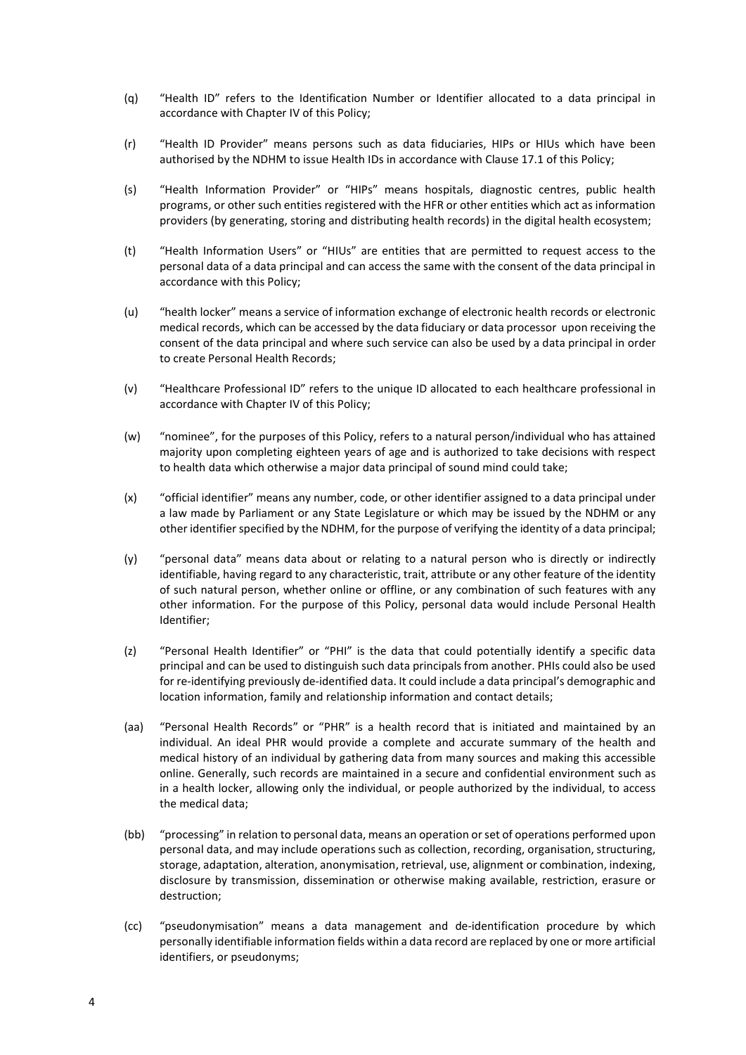- (q) "Health ID" refers to the Identification Number or Identifier allocated to a data principal in accordance with Chapter IV of this Policy;
- (r) "Health ID Provider" means persons such as data fiduciaries, HIPs or HIUs which have been authorised by the NDHM to issue Health IDs in accordance with Clause 17.1 of this Policy;
- (s) "Health Information Provider" or "HIPs" means hospitals, diagnostic centres, public health programs, or other such entities registered with the HFR or other entities which act as information providers (by generating, storing and distributing health records) in the digital health ecosystem;
- (t) "Health Information Users" or "HIUs" are entities that are permitted to request access to the personal data of a data principal and can access the same with the consent of the data principal in accordance with this Policy;
- (u) "health locker" means a service of information exchange of electronic health records or electronic medical records, which can be accessed by the data fiduciary or data processor upon receiving the consent of the data principal and where such service can also be used by a data principal in order to create Personal Health Records;
- (v) "Healthcare Professional ID" refers to the unique ID allocated to each healthcare professional in accordance with Chapter IV of this Policy;
- (w) "nominee", for the purposes of this Policy, refers to a natural person/individual who has attained majority upon completing eighteen years of age and is authorized to take decisions with respect to health data which otherwise a major data principal of sound mind could take;
- (x) "official identifier" means any number, code, or other identifier assigned to a data principal under a law made by Parliament or any State Legislature or which may be issued by the NDHM or any other identifier specified by the NDHM, for the purpose of verifying the identity of a data principal;
- (y) "personal data" means data about or relating to a natural person who is directly or indirectly identifiable, having regard to any characteristic, trait, attribute or any other feature of the identity of such natural person, whether online or offline, or any combination of such features with any other information. For the purpose of this Policy, personal data would include Personal Health Identifier;
- (z) "Personal Health Identifier" or "PHI" is the data that could potentially identify a specific data principal and can be used to distinguish such data principals from another. PHIs could also be used for re-identifying previously de-identified data. It could include a data principal's demographic and location information, family and relationship information and contact details;
- (aa) "Personal Health Records" or "PHR" is a health record that is initiated and maintained by an individual. An ideal PHR would provide a complete and accurate summary of the health and medical history of an individual by gathering data from many sources and making this accessible online. Generally, such records are maintained in a secure and confidential environment such as in a health locker, allowing only the individual, or people authorized by the individual, to access the medical data;
- (bb) "processing" in relation to personal data, means an operation or set of operations performed upon personal data, and may include operations such as collection, recording, organisation, structuring, storage, adaptation, alteration, anonymisation, retrieval, use, alignment or combination, indexing, disclosure by transmission, dissemination or otherwise making available, restriction, erasure or destruction;
- (cc) "pseudonymisation" means a data management and de-identification procedure by which personally identifiable information fields within a data record are replaced by one or more artificial identifiers, or pseudonyms;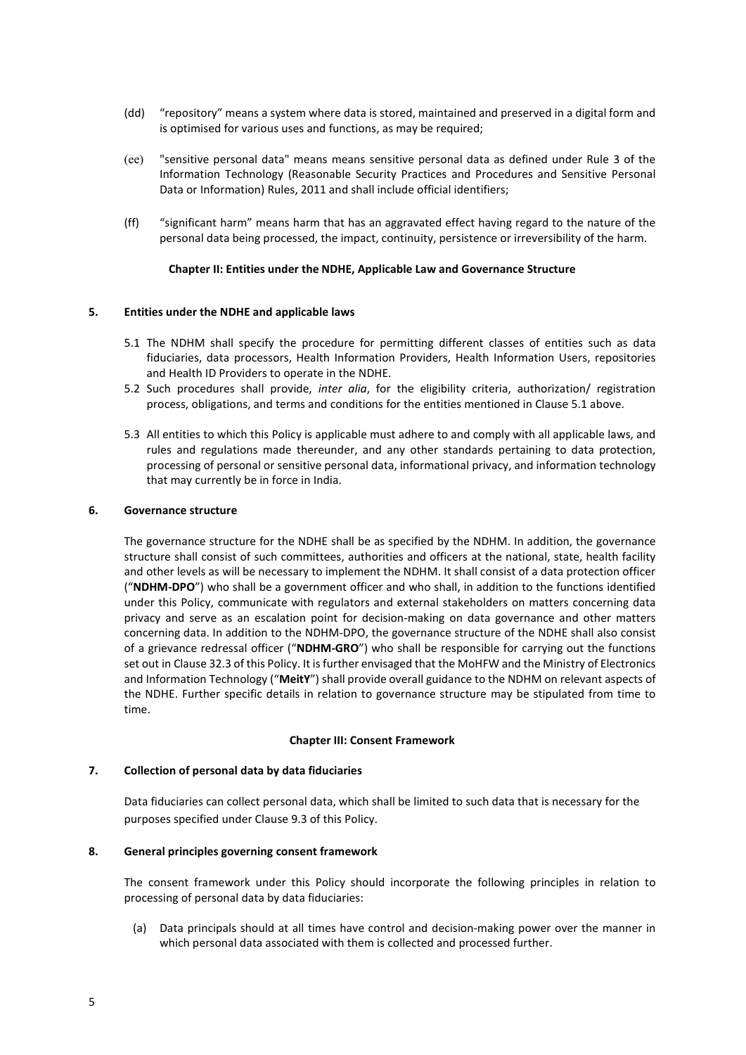- (dd) "repository" means a system where data is stored, maintained and preserved in a digital form and is optimised for various uses and functions, as may be required;
- (ee) "sensitive personal data" means means sensitive personal data as defined under Rule 3 of the Information Technology (Reasonable Security Practices and Procedures and Sensitive Personal Data or Information) Rules, 2011 and shall include official identifiers;
- (ff) "significant harm" means harm that has an aggravated effect having regard to the nature of the personal data being processed, the impact, continuity, persistence or irreversibility of the harm.

### Chapter II: Entities under the NDHE, Applicable Law and Governance Structure

### 5. Entities under the NDHE and applicable laws

- 5.1 The NDHM shall specify the procedure for permitting different classes of entities such as data fiduciaries, data processors, Health Information Providers, Health Information Users, repositories and Health ID Providers to operate in the NDHE.
- 5.2 Such procedures shall provide, inter alia, for the eligibility criteria, authorization/ registration process, obligations, and terms and conditions for the entities mentioned in Clause 5.1 above.
- 5.3 All entities to which this Policy is applicable must adhere to and comply with all applicable laws, and rules and regulations made thereunder, and any other standards pertaining to data protection, processing of personal or sensitive personal data, informational privacy, and information technology that may currently be in force in India.

### 6. Governance structure

The governance structure for the NDHE shall be as specified by the NDHM. In addition, the governance structure shall consist of such committees, authorities and officers at the national, state, health facility and other levels as will be necessary to implement the NDHM. It shall consist of a data protection officer ("NDHM-DPO") who shall be a government officer and who shall, in addition to the functions identified under this Policy, communicate with regulators and external stakeholders on matters concerning data privacy and serve as an escalation point for decision-making on data governance and other matters concerning data. In addition to the NDHM-DPO, the governance structure of the NDHE shall also consist of a grievance redressal officer ("NDHM-GRO") who shall be responsible for carrying out the functions set out in Clause 32.3 of this Policy. It is further envisaged that the MoHFW and the Ministry of Electronics and Information Technology ("MeitY") shall provide overall guidance to the NDHM on relevant aspects of the NDHE. Further specific details in relation to governance structure may be stipulated from time to time.

#### Chapter III: Consent Framework

#### 7. Collection of personal data by data fiduciaries

Data fiduciaries can collect personal data, which shall be limited to such data that is necessary for the purposes specified under Clause 9.3 of this Policy.

#### 8. General principles governing consent framework

The consent framework under this Policy should incorporate the following principles in relation to processing of personal data by data fiduciaries:

(a) Data principals should at all times have control and decision-making power over the manner in which personal data associated with them is collected and processed further.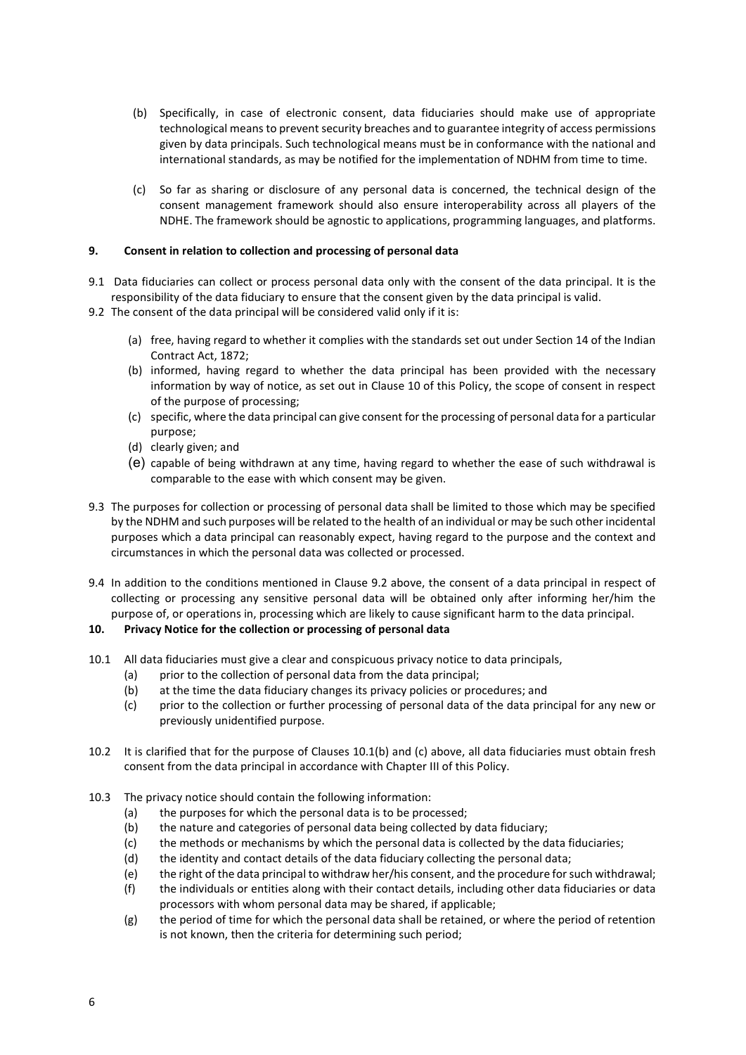- (b) Specifically, in case of electronic consent, data fiduciaries should make use of appropriate technological means to prevent security breaches and to guarantee integrity of access permissions given by data principals. Such technological means must be in conformance with the national and international standards, as may be notified for the implementation of NDHM from time to time.
- (c) So far as sharing or disclosure of any personal data is concerned, the technical design of the consent management framework should also ensure interoperability across all players of the NDHE. The framework should be agnostic to applications, programming languages, and platforms.

# 9. Consent in relation to collection and processing of personal data

- 9.1 Data fiduciaries can collect or process personal data only with the consent of the data principal. It is the responsibility of the data fiduciary to ensure that the consent given by the data principal is valid.
- 9.2 The consent of the data principal will be considered valid only if it is:
	- (a) free, having regard to whether it complies with the standards set out under Section 14 of the Indian Contract Act, 1872;
	- (b) informed, having regard to whether the data principal has been provided with the necessary information by way of notice, as set out in Clause 10 of this Policy, the scope of consent in respect of the purpose of processing;
	- (c) specific, where the data principal can give consent for the processing of personal data for a particular purpose;
	- (d) clearly given; and
	- (e) capable of being withdrawn at any time, having regard to whether the ease of such withdrawal is comparable to the ease with which consent may be given.
- 9.3 The purposes for collection or processing of personal data shall be limited to those which may be specified by the NDHM and such purposes will be related to the health of an individual or may be such other incidental purposes which a data principal can reasonably expect, having regard to the purpose and the context and circumstances in which the personal data was collected or processed.
- 9.4 In addition to the conditions mentioned in Clause 9.2 above, the consent of a data principal in respect of collecting or processing any sensitive personal data will be obtained only after informing her/him the purpose of, or operations in, processing which are likely to cause significant harm to the data principal.

# 10. Privacy Notice for the collection or processing of personal data

- 10.1 All data fiduciaries must give a clear and conspicuous privacy notice to data principals,
	- (a) prior to the collection of personal data from the data principal;
	- (b) at the time the data fiduciary changes its privacy policies or procedures; and
	- (c) prior to the collection or further processing of personal data of the data principal for any new or previously unidentified purpose.
- 10.2 It is clarified that for the purpose of Clauses 10.1(b) and (c) above, all data fiduciaries must obtain fresh consent from the data principal in accordance with Chapter III of this Policy.
- 10.3 The privacy notice should contain the following information:
	- (a) the purposes for which the personal data is to be processed;
	- (b) the nature and categories of personal data being collected by data fiduciary;
	- (c) the methods or mechanisms by which the personal data is collected by the data fiduciaries;
	- (d) the identity and contact details of the data fiduciary collecting the personal data;
	- (e) the right of the data principal to withdraw her/his consent, and the procedure for such withdrawal;
	- (f) the individuals or entities along with their contact details, including other data fiduciaries or data processors with whom personal data may be shared, if applicable;
	- $(g)$  the period of time for which the personal data shall be retained, or where the period of retention is not known, then the criteria for determining such period;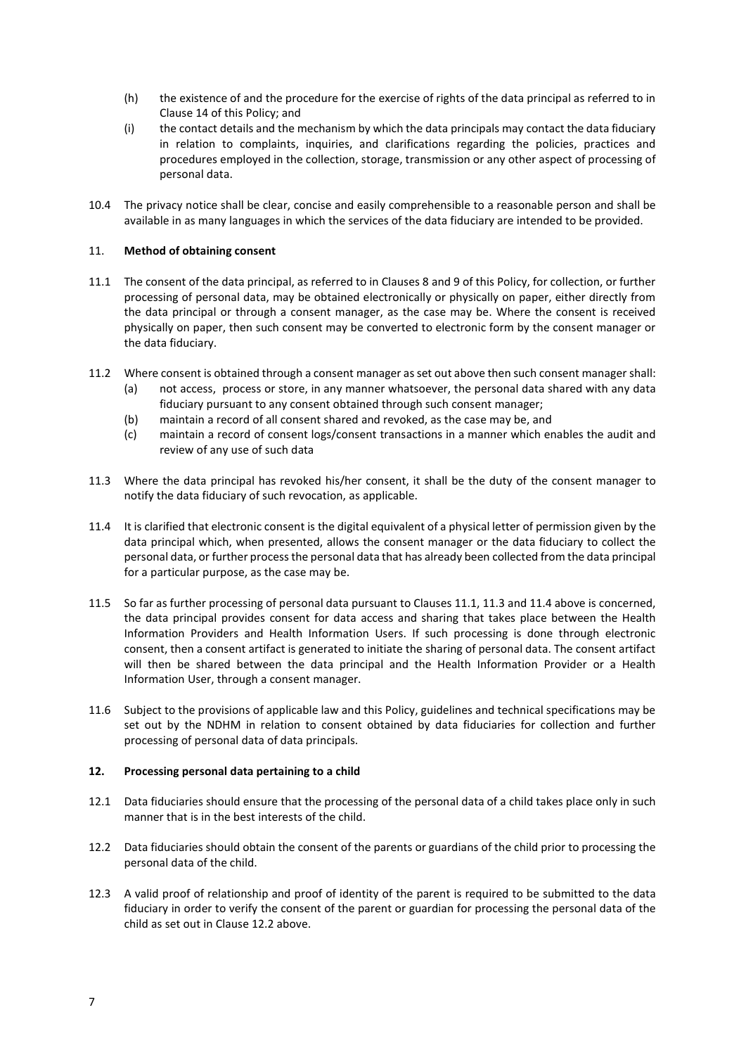- (h) the existence of and the procedure for the exercise of rights of the data principal as referred to in Clause 14 of this Policy; and
- (i) the contact details and the mechanism by which the data principals may contact the data fiduciary in relation to complaints, inquiries, and clarifications regarding the policies, practices and procedures employed in the collection, storage, transmission or any other aspect of processing of personal data.
- 10.4 The privacy notice shall be clear, concise and easily comprehensible to a reasonable person and shall be available in as many languages in which the services of the data fiduciary are intended to be provided.

# 11. Method of obtaining consent

- 11.1 The consent of the data principal, as referred to in Clauses 8 and 9 of this Policy, for collection, or further processing of personal data, may be obtained electronically or physically on paper, either directly from the data principal or through a consent manager, as the case may be. Where the consent is received physically on paper, then such consent may be converted to electronic form by the consent manager or the data fiduciary.
- 11.2 Where consent is obtained through a consent manager as set out above then such consent manager shall:
	- (a) not access, process or store, in any manner whatsoever, the personal data shared with any data fiduciary pursuant to any consent obtained through such consent manager;
	- (b) maintain a record of all consent shared and revoked, as the case may be, and
	- (c) maintain a record of consent logs/consent transactions in a manner which enables the audit and review of any use of such data
- 11.3 Where the data principal has revoked his/her consent, it shall be the duty of the consent manager to notify the data fiduciary of such revocation, as applicable.
- 11.4 It is clarified that electronic consent is the digital equivalent of a physical letter of permission given by the data principal which, when presented, allows the consent manager or the data fiduciary to collect the personal data, or further process the personal data that has already been collected from the data principal for a particular purpose, as the case may be.
- 11.5 So far as further processing of personal data pursuant to Clauses 11.1, 11.3 and 11.4 above is concerned, the data principal provides consent for data access and sharing that takes place between the Health Information Providers and Health Information Users. If such processing is done through electronic consent, then a consent artifact is generated to initiate the sharing of personal data. The consent artifact will then be shared between the data principal and the Health Information Provider or a Health Information User, through a consent manager.
- 11.6 Subject to the provisions of applicable law and this Policy, guidelines and technical specifications may be set out by the NDHM in relation to consent obtained by data fiduciaries for collection and further processing of personal data of data principals.

#### 12. Processing personal data pertaining to a child

- 12.1 Data fiduciaries should ensure that the processing of the personal data of a child takes place only in such manner that is in the best interests of the child.
- 12.2 Data fiduciaries should obtain the consent of the parents or guardians of the child prior to processing the personal data of the child.
- 12.3 A valid proof of relationship and proof of identity of the parent is required to be submitted to the data fiduciary in order to verify the consent of the parent or guardian for processing the personal data of the child as set out in Clause 12.2 above.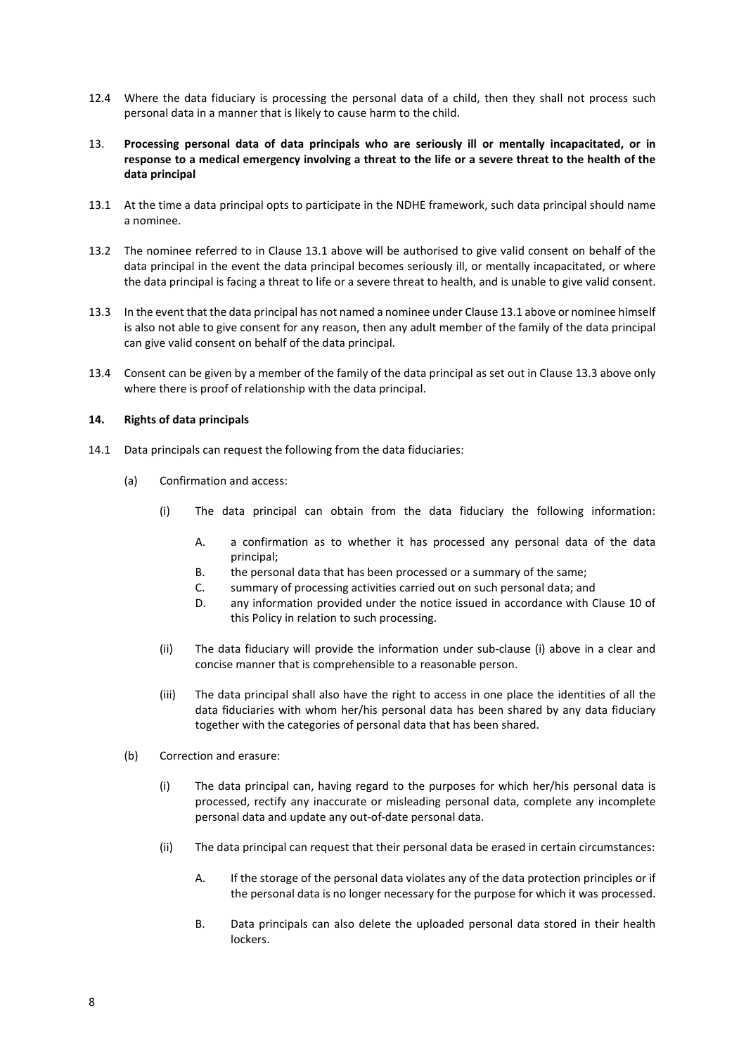- 12.4 Where the data fiduciary is processing the personal data of a child, then they shall not process such personal data in a manner that is likely to cause harm to the child.
- 13. Processing personal data of data principals who are seriously ill or mentally incapacitated, or in response to a medical emergency involving a threat to the life or a severe threat to the health of the data principal
- 13.1 At the time a data principal opts to participate in the NDHE framework, such data principal should name a nominee.
- 13.2 The nominee referred to in Clause 13.1 above will be authorised to give valid consent on behalf of the data principal in the event the data principal becomes seriously ill, or mentally incapacitated, or where the data principal is facing a threat to life or a severe threat to health, and is unable to give valid consent.
- 13.3 In the event that the data principal has not named a nominee under Clause 13.1 above or nominee himself is also not able to give consent for any reason, then any adult member of the family of the data principal can give valid consent on behalf of the data principal.
- 13.4 Consent can be given by a member of the family of the data principal as set out in Clause 13.3 above only where there is proof of relationship with the data principal.

### 14. Rights of data principals

- 14.1 Data principals can request the following from the data fiduciaries:
	- (a) Confirmation and access:
		- (i) The data principal can obtain from the data fiduciary the following information:
			- A. a confirmation as to whether it has processed any personal data of the data principal;
			- B. the personal data that has been processed or a summary of the same;
			- C. summary of processing activities carried out on such personal data; and
			- D. any information provided under the notice issued in accordance with Clause 10 of this Policy in relation to such processing.
		- (ii) The data fiduciary will provide the information under sub-clause (i) above in a clear and concise manner that is comprehensible to a reasonable person.
		- (iii) The data principal shall also have the right to access in one place the identities of all the data fiduciaries with whom her/his personal data has been shared by any data fiduciary together with the categories of personal data that has been shared.
	- (b) Correction and erasure:
		- (i) The data principal can, having regard to the purposes for which her/his personal data is processed, rectify any inaccurate or misleading personal data, complete any incomplete personal data and update any out-of-date personal data.
		- (ii) The data principal can request that their personal data be erased in certain circumstances:
			- A. If the storage of the personal data violates any of the data protection principles or if the personal data is no longer necessary for the purpose for which it was processed.
			- B. Data principals can also delete the uploaded personal data stored in their health lockers.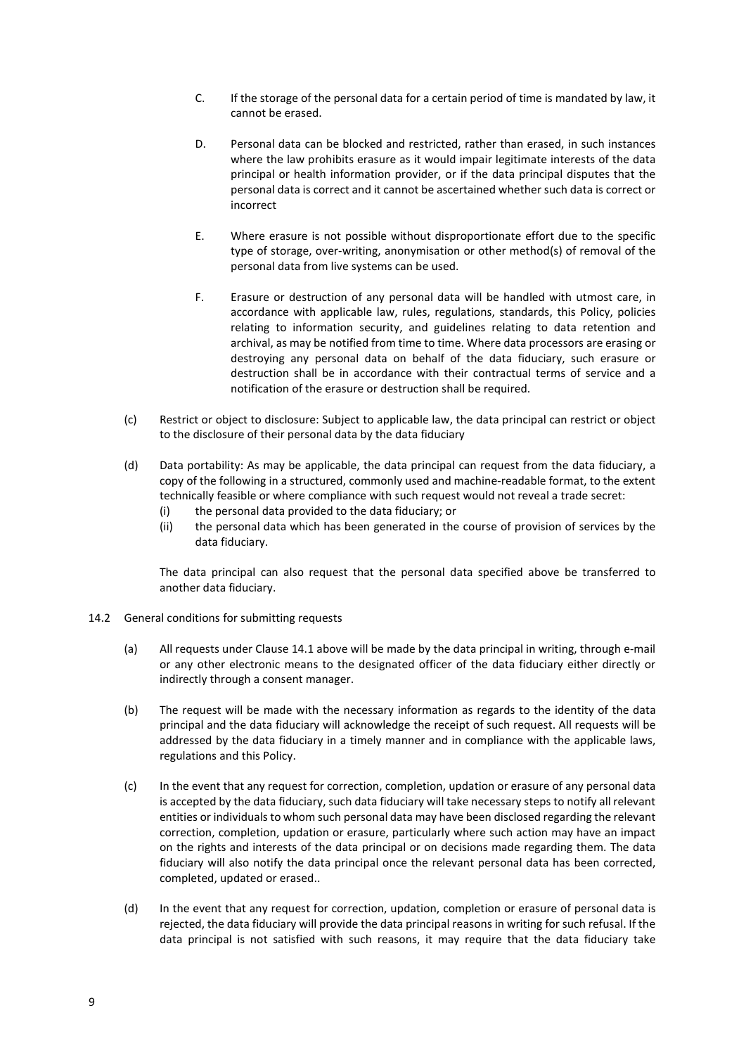- C. If the storage of the personal data for a certain period of time is mandated by law, it cannot be erased.
- D. Personal data can be blocked and restricted, rather than erased, in such instances where the law prohibits erasure as it would impair legitimate interests of the data principal or health information provider, or if the data principal disputes that the personal data is correct and it cannot be ascertained whether such data is correct or incorrect
- E. Where erasure is not possible without disproportionate effort due to the specific type of storage, over-writing, anonymisation or other method(s) of removal of the personal data from live systems can be used.
- F. Erasure or destruction of any personal data will be handled with utmost care, in accordance with applicable law, rules, regulations, standards, this Policy, policies relating to information security, and guidelines relating to data retention and archival, as may be notified from time to time. Where data processors are erasing or destroying any personal data on behalf of the data fiduciary, such erasure or destruction shall be in accordance with their contractual terms of service and a notification of the erasure or destruction shall be required.
- (c) Restrict or object to disclosure: Subject to applicable law, the data principal can restrict or object to the disclosure of their personal data by the data fiduciary
- (d) Data portability: As may be applicable, the data principal can request from the data fiduciary, a copy of the following in a structured, commonly used and machine-readable format, to the extent technically feasible or where compliance with such request would not reveal a trade secret:
	- (i) the personal data provided to the data fiduciary; or
	- (ii) the personal data which has been generated in the course of provision of services by the data fiduciary.

The data principal can also request that the personal data specified above be transferred to another data fiduciary.

- 14.2 General conditions for submitting requests
	- (a) All requests under Clause 14.1 above will be made by the data principal in writing, through e-mail or any other electronic means to the designated officer of the data fiduciary either directly or indirectly through a consent manager.
	- (b) The request will be made with the necessary information as regards to the identity of the data principal and the data fiduciary will acknowledge the receipt of such request. All requests will be addressed by the data fiduciary in a timely manner and in compliance with the applicable laws, regulations and this Policy.
	- (c) In the event that any request for correction, completion, updation or erasure of any personal data is accepted by the data fiduciary, such data fiduciary will take necessary steps to notify all relevant entities or individuals to whom such personal data may have been disclosed regarding the relevant correction, completion, updation or erasure, particularly where such action may have an impact on the rights and interests of the data principal or on decisions made regarding them. The data fiduciary will also notify the data principal once the relevant personal data has been corrected, completed, updated or erased..
	- (d) In the event that any request for correction, updation, completion or erasure of personal data is rejected, the data fiduciary will provide the data principal reasons in writing for such refusal. If the data principal is not satisfied with such reasons, it may require that the data fiduciary take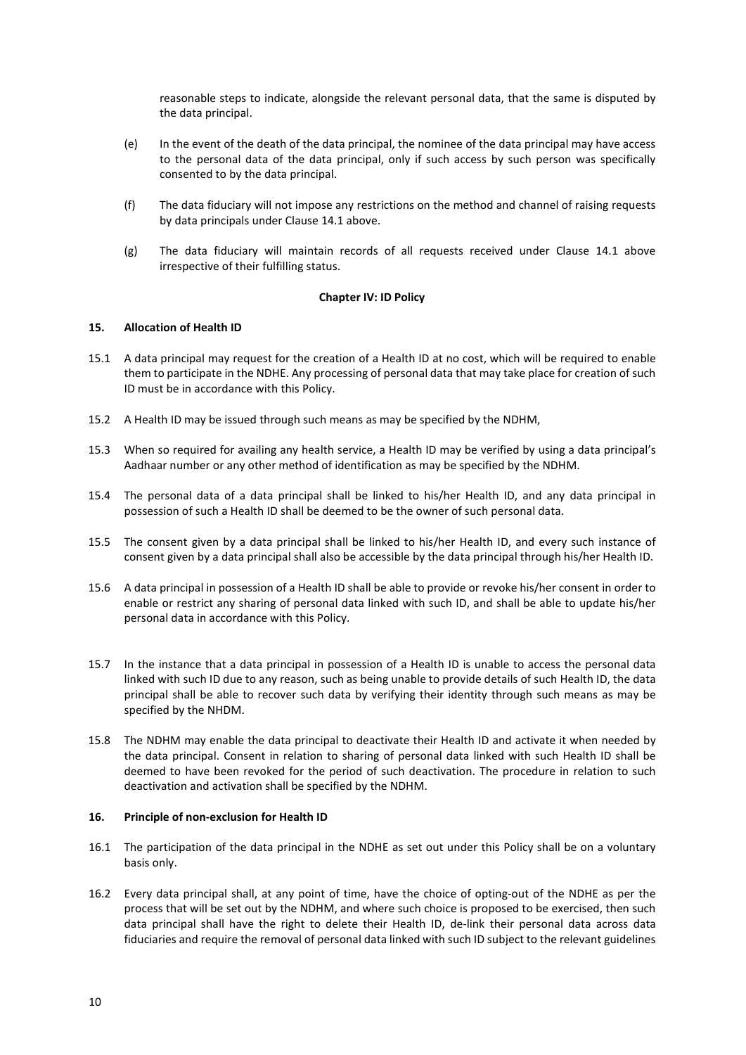reasonable steps to indicate, alongside the relevant personal data, that the same is disputed by the data principal.

- (e) In the event of the death of the data principal, the nominee of the data principal may have access to the personal data of the data principal, only if such access by such person was specifically consented to by the data principal.
- (f) The data fiduciary will not impose any restrictions on the method and channel of raising requests by data principals under Clause 14.1 above.
- (g) The data fiduciary will maintain records of all requests received under Clause 14.1 above irrespective of their fulfilling status.

### Chapter IV: ID Policy

### 15. Allocation of Health ID

- 15.1 A data principal may request for the creation of a Health ID at no cost, which will be required to enable them to participate in the NDHE. Any processing of personal data that may take place for creation of such ID must be in accordance with this Policy.
- 15.2 A Health ID may be issued through such means as may be specified by the NDHM,
- 15.3 When so required for availing any health service, a Health ID may be verified by using a data principal's Aadhaar number or any other method of identification as may be specified by the NDHM.
- 15.4 The personal data of a data principal shall be linked to his/her Health ID, and any data principal in possession of such a Health ID shall be deemed to be the owner of such personal data.
- 15.5 The consent given by a data principal shall be linked to his/her Health ID, and every such instance of consent given by a data principal shall also be accessible by the data principal through his/her Health ID.
- 15.6 A data principal in possession of a Health ID shall be able to provide or revoke his/her consent in order to enable or restrict any sharing of personal data linked with such ID, and shall be able to update his/her personal data in accordance with this Policy.
- 15.7 In the instance that a data principal in possession of a Health ID is unable to access the personal data linked with such ID due to any reason, such as being unable to provide details of such Health ID, the data principal shall be able to recover such data by verifying their identity through such means as may be specified by the NHDM.
- 15.8 The NDHM may enable the data principal to deactivate their Health ID and activate it when needed by the data principal. Consent in relation to sharing of personal data linked with such Health ID shall be deemed to have been revoked for the period of such deactivation. The procedure in relation to such deactivation and activation shall be specified by the NDHM.

# 16. Principle of non-exclusion for Health ID

- 16.1 The participation of the data principal in the NDHE as set out under this Policy shall be on a voluntary basis only.
- 16.2 Every data principal shall, at any point of time, have the choice of opting-out of the NDHE as per the process that will be set out by the NDHM, and where such choice is proposed to be exercised, then such data principal shall have the right to delete their Health ID, de-link their personal data across data fiduciaries and require the removal of personal data linked with such ID subject to the relevant guidelines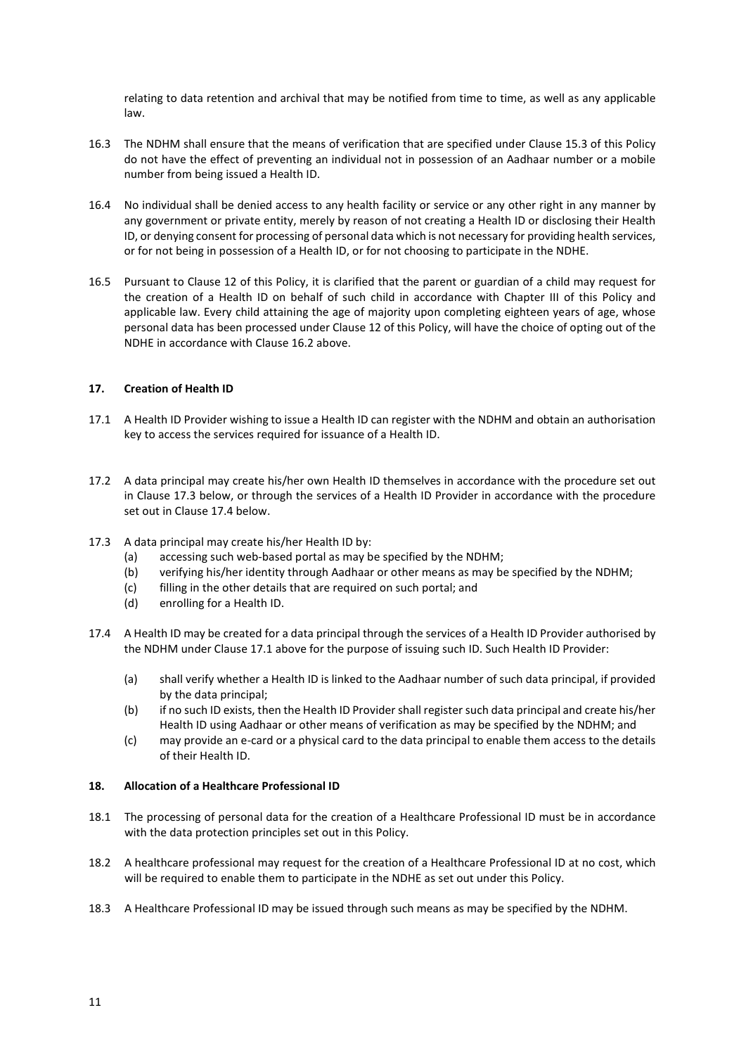relating to data retention and archival that may be notified from time to time, as well as any applicable law.

- 16.3 The NDHM shall ensure that the means of verification that are specified under Clause 15.3 of this Policy do not have the effect of preventing an individual not in possession of an Aadhaar number or a mobile number from being issued a Health ID.
- 16.4 No individual shall be denied access to any health facility or service or any other right in any manner by any government or private entity, merely by reason of not creating a Health ID or disclosing their Health ID, or denying consent for processing of personal data which is not necessary for providing health services, or for not being in possession of a Health ID, or for not choosing to participate in the NDHE.
- 16.5 Pursuant to Clause 12 of this Policy, it is clarified that the parent or guardian of a child may request for the creation of a Health ID on behalf of such child in accordance with Chapter III of this Policy and applicable law. Every child attaining the age of majority upon completing eighteen years of age, whose personal data has been processed under Clause 12 of this Policy, will have the choice of opting out of the NDHE in accordance with Clause 16.2 above.

# 17. Creation of Health ID

- 17.1 A Health ID Provider wishing to issue a Health ID can register with the NDHM and obtain an authorisation key to access the services required for issuance of a Health ID.
- 17.2 A data principal may create his/her own Health ID themselves in accordance with the procedure set out in Clause 17.3 below, or through the services of a Health ID Provider in accordance with the procedure set out in Clause 17.4 below.
- 17.3 A data principal may create his/her Health ID by:
	- (a) accessing such web-based portal as may be specified by the NDHM;
	- (b) verifying his/her identity through Aadhaar or other means as may be specified by the NDHM;
	- (c) filling in the other details that are required on such portal; and
	- (d) enrolling for a Health ID.
- 17.4 A Health ID may be created for a data principal through the services of a Health ID Provider authorised by the NDHM under Clause 17.1 above for the purpose of issuing such ID. Such Health ID Provider:
	- (a) shall verify whether a Health ID is linked to the Aadhaar number of such data principal, if provided by the data principal;
	- (b) if no such ID exists, then the Health ID Provider shall register such data principal and create his/her Health ID using Aadhaar or other means of verification as may be specified by the NDHM; and
	- (c) may provide an e-card or a physical card to the data principal to enable them access to the details of their Health ID.

# 18. Allocation of a Healthcare Professional ID

- 18.1 The processing of personal data for the creation of a Healthcare Professional ID must be in accordance with the data protection principles set out in this Policy.
- 18.2 A healthcare professional may request for the creation of a Healthcare Professional ID at no cost, which will be required to enable them to participate in the NDHE as set out under this Policy.
- 18.3 A Healthcare Professional ID may be issued through such means as may be specified by the NDHM.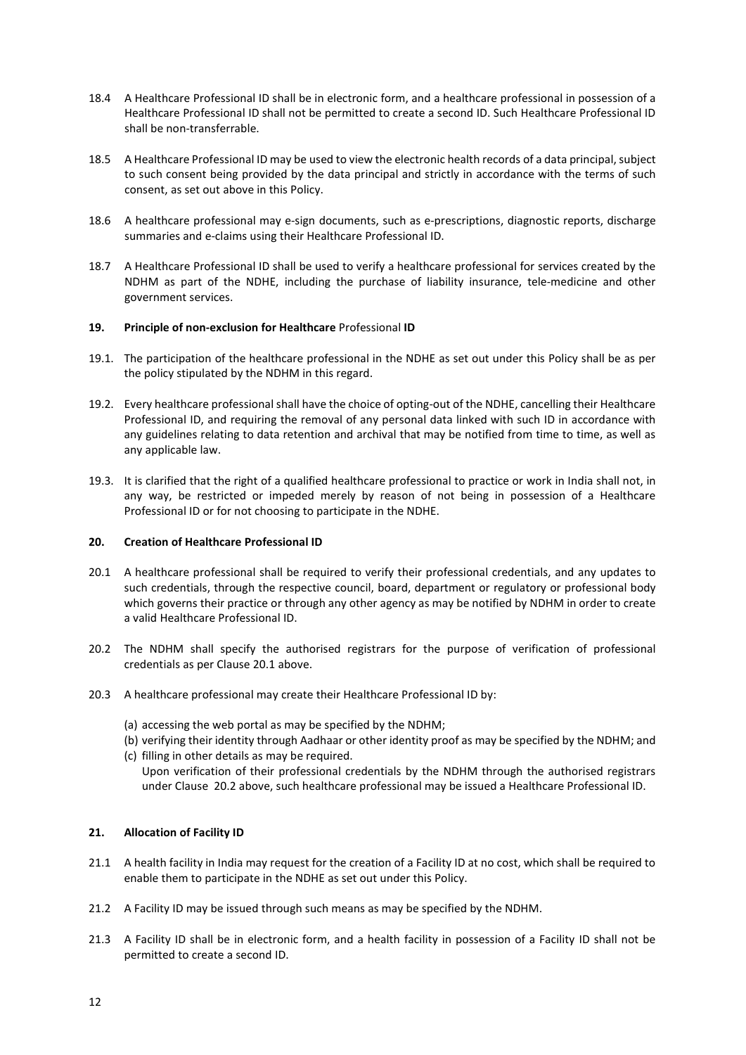- 18.4 A Healthcare Professional ID shall be in electronic form, and a healthcare professional in possession of a Healthcare Professional ID shall not be permitted to create a second ID. Such Healthcare Professional ID shall be non-transferrable.
- 18.5 A Healthcare Professional ID may be used to view the electronic health records of a data principal, subject to such consent being provided by the data principal and strictly in accordance with the terms of such consent, as set out above in this Policy.
- 18.6 A healthcare professional may e-sign documents, such as e-prescriptions, diagnostic reports, discharge summaries and e-claims using their Healthcare Professional ID.
- 18.7 A Healthcare Professional ID shall be used to verify a healthcare professional for services created by the NDHM as part of the NDHE, including the purchase of liability insurance, tele-medicine and other government services.

# 19. Principle of non-exclusion for Healthcare Professional ID

- 19.1. The participation of the healthcare professional in the NDHE as set out under this Policy shall be as per the policy stipulated by the NDHM in this regard.
- 19.2. Every healthcare professional shall have the choice of opting-out of the NDHE, cancelling their Healthcare Professional ID, and requiring the removal of any personal data linked with such ID in accordance with any guidelines relating to data retention and archival that may be notified from time to time, as well as any applicable law.
- 19.3. It is clarified that the right of a qualified healthcare professional to practice or work in India shall not, in any way, be restricted or impeded merely by reason of not being in possession of a Healthcare Professional ID or for not choosing to participate in the NDHE.

# 20. Creation of Healthcare Professional ID

- 20.1 A healthcare professional shall be required to verify their professional credentials, and any updates to such credentials, through the respective council, board, department or regulatory or professional body which governs their practice or through any other agency as may be notified by NDHM in order to create a valid Healthcare Professional ID.
- 20.2 The NDHM shall specify the authorised registrars for the purpose of verification of professional credentials as per Clause 20.1 above.
- 20.3 A healthcare professional may create their Healthcare Professional ID by:
	- (a) accessing the web portal as may be specified by the NDHM;
	- (b) verifying their identity through Aadhaar or other identity proof as may be specified by the NDHM; and (c) filling in other details as may be required.
		- Upon verification of their professional credentials by the NDHM through the authorised registrars under Clause 20.2 above, such healthcare professional may be issued a Healthcare Professional ID.

# 21. Allocation of Facility ID

- 21.1 A health facility in India may request for the creation of a Facility ID at no cost, which shall be required to enable them to participate in the NDHE as set out under this Policy.
- 21.2 A Facility ID may be issued through such means as may be specified by the NDHM.
- 21.3 A Facility ID shall be in electronic form, and a health facility in possession of a Facility ID shall not be permitted to create a second ID.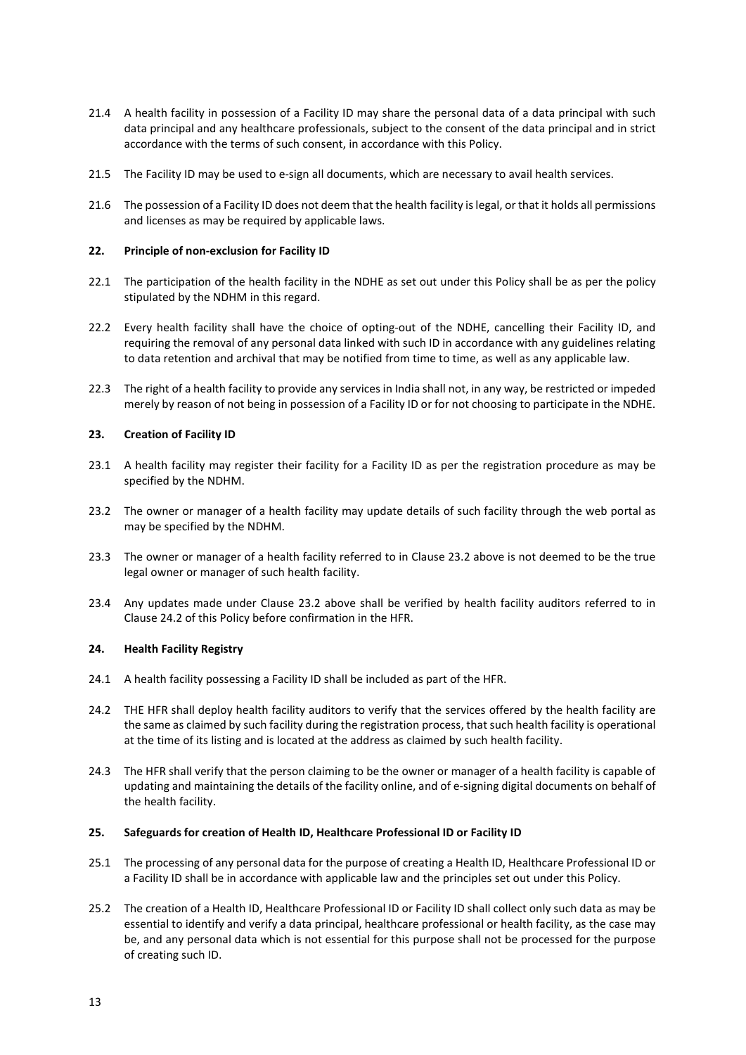- 21.4 A health facility in possession of a Facility ID may share the personal data of a data principal with such data principal and any healthcare professionals, subject to the consent of the data principal and in strict accordance with the terms of such consent, in accordance with this Policy.
- 21.5 The Facility ID may be used to e-sign all documents, which are necessary to avail health services.
- 21.6 The possession of a Facility ID does not deem that the health facility is legal, or that it holds all permissions and licenses as may be required by applicable laws.

# 22. Principle of non-exclusion for Facility ID

- 22.1 The participation of the health facility in the NDHE as set out under this Policy shall be as per the policy stipulated by the NDHM in this regard.
- 22.2 Every health facility shall have the choice of opting-out of the NDHE, cancelling their Facility ID, and requiring the removal of any personal data linked with such ID in accordance with any guidelines relating to data retention and archival that may be notified from time to time, as well as any applicable law.
- 22.3 The right of a health facility to provide any services in India shall not, in any way, be restricted or impeded merely by reason of not being in possession of a Facility ID or for not choosing to participate in the NDHE.

# 23. Creation of Facility ID

- 23.1 A health facility may register their facility for a Facility ID as per the registration procedure as may be specified by the NDHM.
- 23.2 The owner or manager of a health facility may update details of such facility through the web portal as may be specified by the NDHM.
- 23.3 The owner or manager of a health facility referred to in Clause 23.2 above is not deemed to be the true legal owner or manager of such health facility.
- 23.4 Any updates made under Clause 23.2 above shall be verified by health facility auditors referred to in Clause 24.2 of this Policy before confirmation in the HFR.

# 24. Health Facility Registry

- 24.1 A health facility possessing a Facility ID shall be included as part of the HFR.
- 24.2 THE HFR shall deploy health facility auditors to verify that the services offered by the health facility are the same as claimed by such facility during the registration process, that such health facility is operational at the time of its listing and is located at the address as claimed by such health facility.
- 24.3 The HFR shall verify that the person claiming to be the owner or manager of a health facility is capable of updating and maintaining the details of the facility online, and of e-signing digital documents on behalf of the health facility.

# 25. Safeguards for creation of Health ID, Healthcare Professional ID or Facility ID

- 25.1 The processing of any personal data for the purpose of creating a Health ID, Healthcare Professional ID or a Facility ID shall be in accordance with applicable law and the principles set out under this Policy.
- 25.2 The creation of a Health ID, Healthcare Professional ID or Facility ID shall collect only such data as may be essential to identify and verify a data principal, healthcare professional or health facility, as the case may be, and any personal data which is not essential for this purpose shall not be processed for the purpose of creating such ID.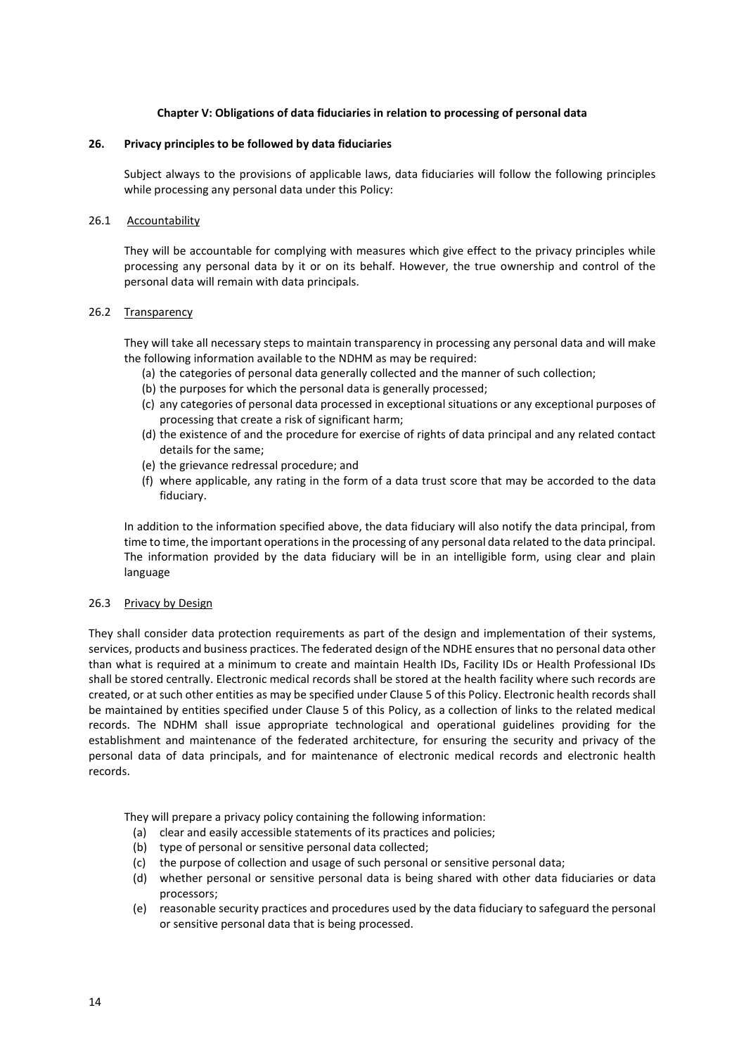# Chapter V: Obligations of data fiduciaries in relation to processing of personal data

#### 26. Privacy principles to be followed by data fiduciaries

Subject always to the provisions of applicable laws, data fiduciaries will follow the following principles while processing any personal data under this Policy:

#### 26.1 Accountability

They will be accountable for complying with measures which give effect to the privacy principles while processing any personal data by it or on its behalf. However, the true ownership and control of the personal data will remain with data principals.

#### 26.2 Transparency

They will take all necessary steps to maintain transparency in processing any personal data and will make the following information available to the NDHM as may be required:

- (a) the categories of personal data generally collected and the manner of such collection;
- (b) the purposes for which the personal data is generally processed;
- (c) any categories of personal data processed in exceptional situations or any exceptional purposes of processing that create a risk of significant harm;
- (d) the existence of and the procedure for exercise of rights of data principal and any related contact details for the same;
- (e) the grievance redressal procedure; and
- (f) where applicable, any rating in the form of a data trust score that may be accorded to the data fiduciary.

In addition to the information specified above, the data fiduciary will also notify the data principal, from time to time, the important operations in the processing of any personal data related to the data principal. The information provided by the data fiduciary will be in an intelligible form, using clear and plain language

#### 26.3 Privacy by Design

They shall consider data protection requirements as part of the design and implementation of their systems, services, products and business practices. The federated design of the NDHE ensures that no personal data other than what is required at a minimum to create and maintain Health IDs, Facility IDs or Health Professional IDs shall be stored centrally. Electronic medical records shall be stored at the health facility where such records are created, or at such other entities as may be specified under Clause 5 of this Policy. Electronic health records shall be maintained by entities specified under Clause 5 of this Policy, as a collection of links to the related medical records. The NDHM shall issue appropriate technological and operational guidelines providing for the establishment and maintenance of the federated architecture, for ensuring the security and privacy of the personal data of data principals, and for maintenance of electronic medical records and electronic health records.

They will prepare a privacy policy containing the following information:

- (a) clear and easily accessible statements of its practices and policies;
- (b) type of personal or sensitive personal data collected;
- (c) the purpose of collection and usage of such personal or sensitive personal data;
- (d) whether personal or sensitive personal data is being shared with other data fiduciaries or data processors;
- (e) reasonable security practices and procedures used by the data fiduciary to safeguard the personal or sensitive personal data that is being processed.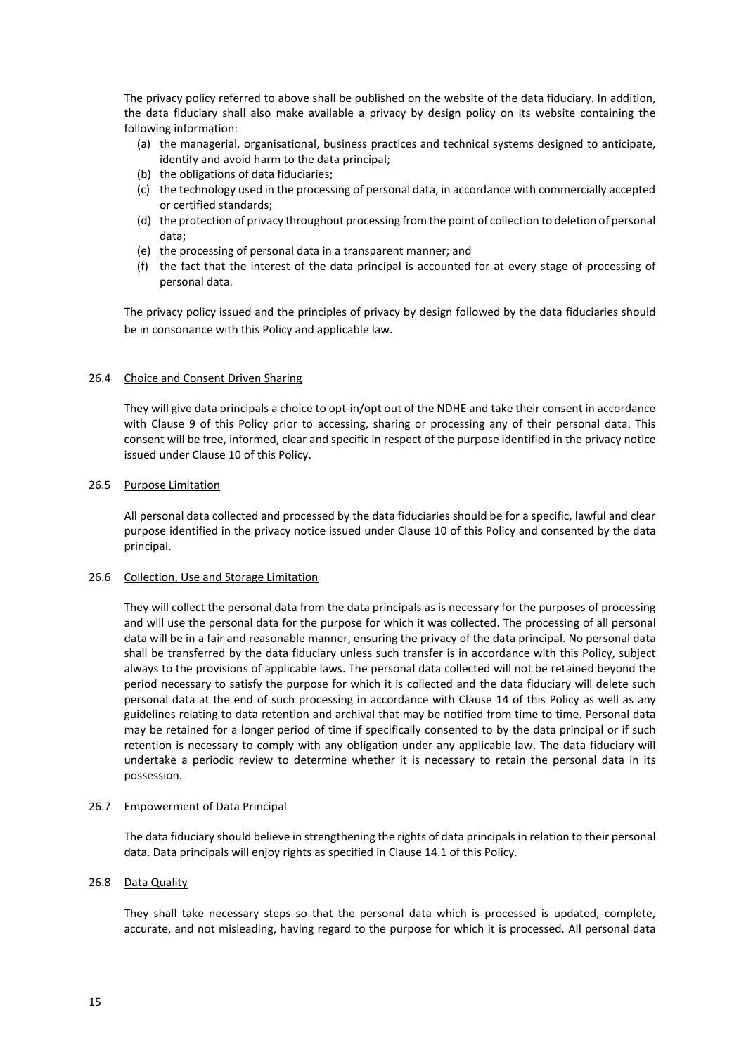The privacy policy referred to above shall be published on the website of the data fiduciary. In addition, the data fiduciary shall also make available a privacy by design policy on its website containing the following information:

- (a) the managerial, organisational, business practices and technical systems designed to anticipate, identify and avoid harm to the data principal;
- (b) the obligations of data fiduciaries;
- (c) the technology used in the processing of personal data, in accordance with commercially accepted or certified standards;
- (d) the protection of privacy throughout processing from the point of collection to deletion of personal data;
- (e) the processing of personal data in a transparent manner; and
- (f) the fact that the interest of the data principal is accounted for at every stage of processing of personal data.

The privacy policy issued and the principles of privacy by design followed by the data fiduciaries should be in consonance with this Policy and applicable law.

# 26.4 Choice and Consent Driven Sharing

They will give data principals a choice to opt-in/opt out of the NDHE and take their consent in accordance with Clause 9 of this Policy prior to accessing, sharing or processing any of their personal data. This consent will be free, informed, clear and specific in respect of the purpose identified in the privacy notice issued under Clause 10 of this Policy.

# 26.5 Purpose Limitation

All personal data collected and processed by the data fiduciaries should be for a specific, lawful and clear purpose identified in the privacy notice issued under Clause 10 of this Policy and consented by the data principal.

# 26.6 Collection, Use and Storage Limitation

They will collect the personal data from the data principals as is necessary for the purposes of processing and will use the personal data for the purpose for which it was collected. The processing of all personal data will be in a fair and reasonable manner, ensuring the privacy of the data principal. No personal data shall be transferred by the data fiduciary unless such transfer is in accordance with this Policy, subject always to the provisions of applicable laws. The personal data collected will not be retained beyond the period necessary to satisfy the purpose for which it is collected and the data fiduciary will delete such personal data at the end of such processing in accordance with Clause 14 of this Policy as well as any guidelines relating to data retention and archival that may be notified from time to time. Personal data may be retained for a longer period of time if specifically consented to by the data principal or if such retention is necessary to comply with any obligation under any applicable law. The data fiduciary will undertake a periodic review to determine whether it is necessary to retain the personal data in its possession.

# 26.7 Empowerment of Data Principal

The data fiduciary should believe in strengthening the rights of data principals in relation to their personal data. Data principals will enjoy rights as specified in Clause 14.1 of this Policy.

# 26.8 Data Quality

They shall take necessary steps so that the personal data which is processed is updated, complete, accurate, and not misleading, having regard to the purpose for which it is processed. All personal data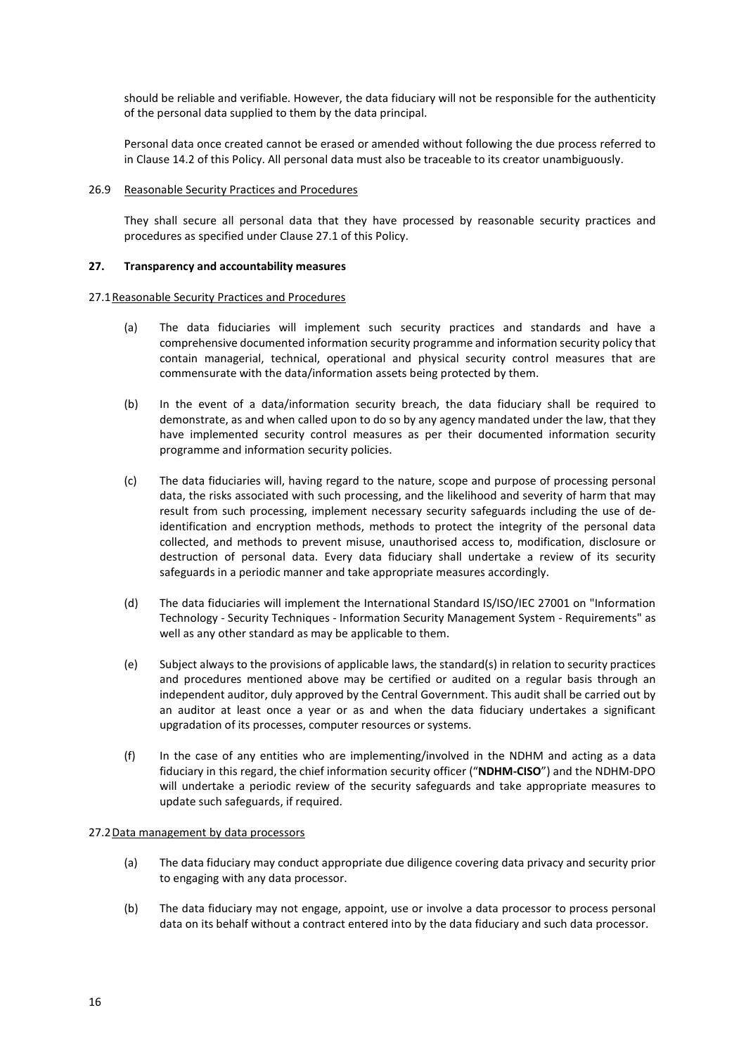should be reliable and verifiable. However, the data fiduciary will not be responsible for the authenticity of the personal data supplied to them by the data principal.

Personal data once created cannot be erased or amended without following the due process referred to in Clause 14.2 of this Policy. All personal data must also be traceable to its creator unambiguously.

### 26.9 Reasonable Security Practices and Procedures

They shall secure all personal data that they have processed by reasonable security practices and procedures as specified under Clause 27.1 of this Policy.

### 27. Transparency and accountability measures

### 27.1Reasonable Security Practices and Procedures

- (a) The data fiduciaries will implement such security practices and standards and have a comprehensive documented information security programme and information security policy that contain managerial, technical, operational and physical security control measures that are commensurate with the data/information assets being protected by them.
- (b) In the event of a data/information security breach, the data fiduciary shall be required to demonstrate, as and when called upon to do so by any agency mandated under the law, that they have implemented security control measures as per their documented information security programme and information security policies.
- (c) The data fiduciaries will, having regard to the nature, scope and purpose of processing personal data, the risks associated with such processing, and the likelihood and severity of harm that may result from such processing, implement necessary security safeguards including the use of deidentification and encryption methods, methods to protect the integrity of the personal data collected, and methods to prevent misuse, unauthorised access to, modification, disclosure or destruction of personal data. Every data fiduciary shall undertake a review of its security safeguards in a periodic manner and take appropriate measures accordingly.
- (d) The data fiduciaries will implement the International Standard IS/ISO/IEC 27001 on "Information Technology - Security Techniques - Information Security Management System - Requirements" as well as any other standard as may be applicable to them.
- (e) Subject always to the provisions of applicable laws, the standard(s) in relation to security practices and procedures mentioned above may be certified or audited on a regular basis through an independent auditor, duly approved by the Central Government. This audit shall be carried out by an auditor at least once a year or as and when the data fiduciary undertakes a significant upgradation of its processes, computer resources or systems.
- (f) In the case of any entities who are implementing/involved in the NDHM and acting as a data fiduciary in this regard, the chief information security officer ("NDHM-CISO") and the NDHM-DPO will undertake a periodic review of the security safeguards and take appropriate measures to update such safeguards, if required.

### 27.2Data management by data processors

- (a) The data fiduciary may conduct appropriate due diligence covering data privacy and security prior to engaging with any data processor.
- (b) The data fiduciary may not engage, appoint, use or involve a data processor to process personal data on its behalf without a contract entered into by the data fiduciary and such data processor.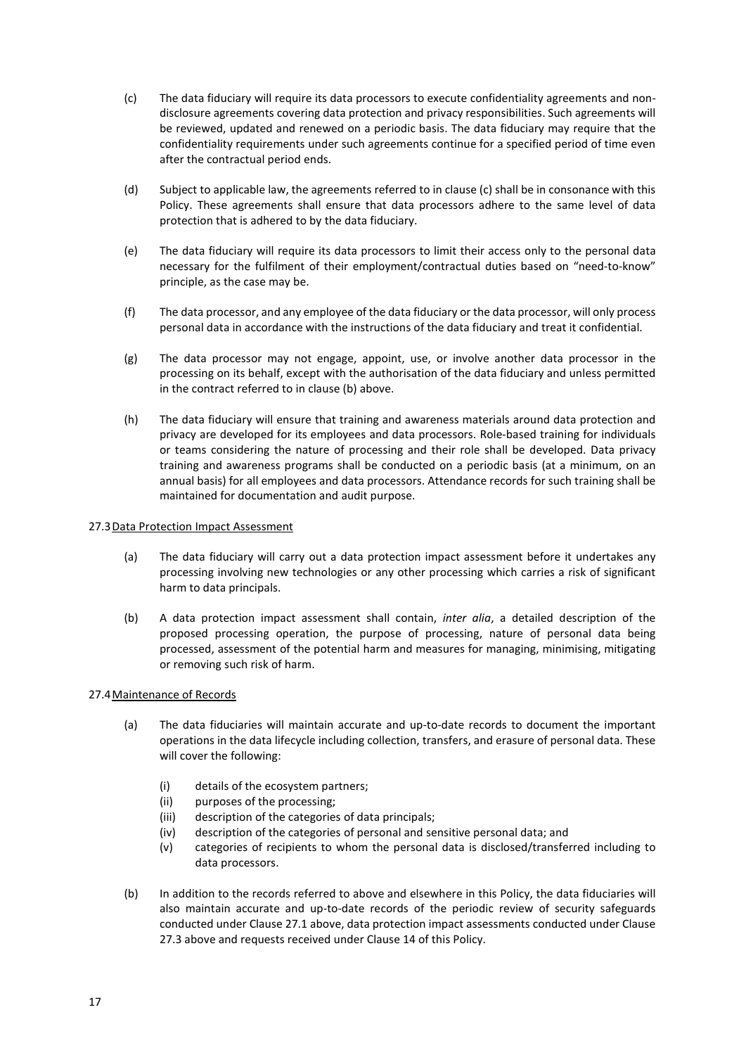- (c) The data fiduciary will require its data processors to execute confidentiality agreements and nondisclosure agreements covering data protection and privacy responsibilities. Such agreements will be reviewed, updated and renewed on a periodic basis. The data fiduciary may require that the confidentiality requirements under such agreements continue for a specified period of time even after the contractual period ends.
- (d) Subject to applicable law, the agreements referred to in clause (c) shall be in consonance with this Policy. These agreements shall ensure that data processors adhere to the same level of data protection that is adhered to by the data fiduciary.
- (e) The data fiduciary will require its data processors to limit their access only to the personal data necessary for the fulfilment of their employment/contractual duties based on "need-to-know" principle, as the case may be.
- (f) The data processor, and any employee of the data fiduciary or the data processor, will only process personal data in accordance with the instructions of the data fiduciary and treat it confidential.
- (g) The data processor may not engage, appoint, use, or involve another data processor in the processing on its behalf, except with the authorisation of the data fiduciary and unless permitted in the contract referred to in clause (b) above.
- (h) The data fiduciary will ensure that training and awareness materials around data protection and privacy are developed for its employees and data processors. Role-based training for individuals or teams considering the nature of processing and their role shall be developed. Data privacy training and awareness programs shall be conducted on a periodic basis (at a minimum, on an annual basis) for all employees and data processors. Attendance records for such training shall be maintained for documentation and audit purpose.

# 27.3 Data Protection Impact Assessment

- (a) The data fiduciary will carry out a data protection impact assessment before it undertakes any processing involving new technologies or any other processing which carries a risk of significant harm to data principals.
- (b) A data protection impact assessment shall contain, inter alia, a detailed description of the proposed processing operation, the purpose of processing, nature of personal data being processed, assessment of the potential harm and measures for managing, minimising, mitigating or removing such risk of harm.

# 27.4Maintenance of Records

- (a) The data fiduciaries will maintain accurate and up-to-date records to document the important operations in the data lifecycle including collection, transfers, and erasure of personal data. These will cover the following:
	- (i) details of the ecosystem partners;
	- (ii) purposes of the processing;
	- (iii) description of the categories of data principals;
	- (iv) description of the categories of personal and sensitive personal data; and
	- (v) categories of recipients to whom the personal data is disclosed/transferred including to data processors.
- (b) In addition to the records referred to above and elsewhere in this Policy, the data fiduciaries will also maintain accurate and up-to-date records of the periodic review of security safeguards conducted under Clause 27.1 above, data protection impact assessments conducted under Clause 27.3 above and requests received under Clause 14 of this Policy.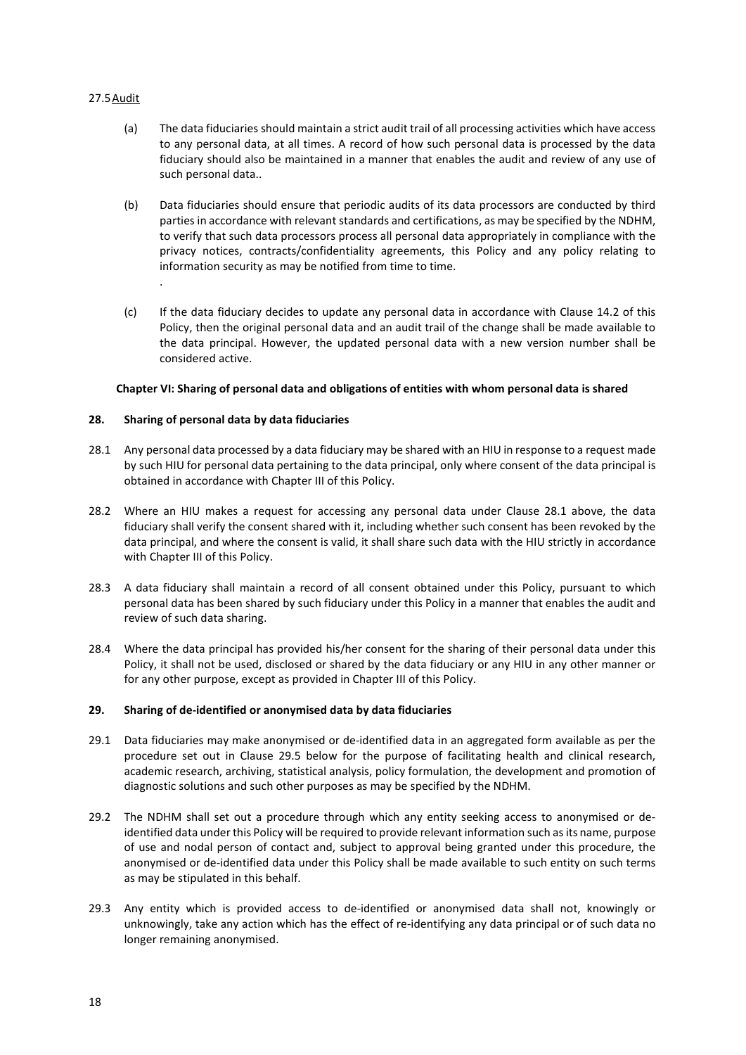# 27.5Audit

- (a) The data fiduciaries should maintain a strict audit trail of all processing activities which have access to any personal data, at all times. A record of how such personal data is processed by the data fiduciary should also be maintained in a manner that enables the audit and review of any use of such personal data..
- (b) Data fiduciaries should ensure that periodic audits of its data processors are conducted by third parties in accordance with relevant standards and certifications, as may be specified by the NDHM, to verify that such data processors process all personal data appropriately in compliance with the privacy notices, contracts/confidentiality agreements, this Policy and any policy relating to information security as may be notified from time to time.
- (c) If the data fiduciary decides to update any personal data in accordance with Clause 14.2 of this Policy, then the original personal data and an audit trail of the change shall be made available to the data principal. However, the updated personal data with a new version number shall be considered active.

# Chapter VI: Sharing of personal data and obligations of entities with whom personal data is shared

# 28. Sharing of personal data by data fiduciaries

.

- 28.1 Any personal data processed by a data fiduciary may be shared with an HIU in response to a request made by such HIU for personal data pertaining to the data principal, only where consent of the data principal is obtained in accordance with Chapter III of this Policy.
- 28.2 Where an HIU makes a request for accessing any personal data under Clause 28.1 above, the data fiduciary shall verify the consent shared with it, including whether such consent has been revoked by the data principal, and where the consent is valid, it shall share such data with the HIU strictly in accordance with Chapter III of this Policy.
- 28.3 A data fiduciary shall maintain a record of all consent obtained under this Policy, pursuant to which personal data has been shared by such fiduciary under this Policy in a manner that enables the audit and review of such data sharing.
- 28.4 Where the data principal has provided his/her consent for the sharing of their personal data under this Policy, it shall not be used, disclosed or shared by the data fiduciary or any HIU in any other manner or for any other purpose, except as provided in Chapter III of this Policy.

# 29. Sharing of de-identified or anonymised data by data fiduciaries

- 29.1 Data fiduciaries may make anonymised or de-identified data in an aggregated form available as per the procedure set out in Clause 29.5 below for the purpose of facilitating health and clinical research, academic research, archiving, statistical analysis, policy formulation, the development and promotion of diagnostic solutions and such other purposes as may be specified by the NDHM.
- 29.2 The NDHM shall set out a procedure through which any entity seeking access to anonymised or deidentified data under this Policy will be required to provide relevant information such as its name, purpose of use and nodal person of contact and, subject to approval being granted under this procedure, the anonymised or de-identified data under this Policy shall be made available to such entity on such terms as may be stipulated in this behalf.
- 29.3 Any entity which is provided access to de-identified or anonymised data shall not, knowingly or unknowingly, take any action which has the effect of re-identifying any data principal or of such data no longer remaining anonymised.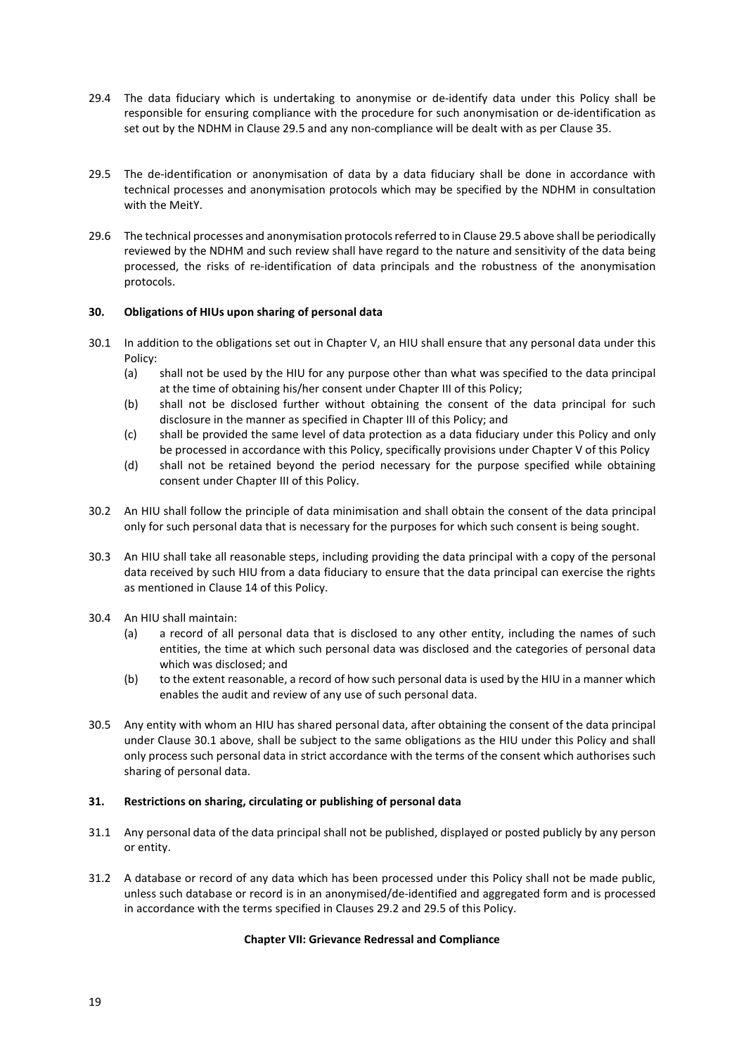- 29.4 The data fiduciary which is undertaking to anonymise or de-identify data under this Policy shall be responsible for ensuring compliance with the procedure for such anonymisation or de-identification as set out by the NDHM in Clause 29.5 and any non-compliance will be dealt with as per Clause 35.
- 29.5 The de-identification or anonymisation of data by a data fiduciary shall be done in accordance with technical processes and anonymisation protocols which may be specified by the NDHM in consultation with the MeitY.
- 29.6 The technical processes and anonymisation protocols referred to in Clause 29.5 above shall be periodically reviewed by the NDHM and such review shall have regard to the nature and sensitivity of the data being processed, the risks of re-identification of data principals and the robustness of the anonymisation protocols.

# 30. Obligations of HIUs upon sharing of personal data

- 30.1 In addition to the obligations set out in Chapter V, an HIU shall ensure that any personal data under this Policy:
	- (a) shall not be used by the HIU for any purpose other than what was specified to the data principal at the time of obtaining his/her consent under Chapter III of this Policy;
	- (b) shall not be disclosed further without obtaining the consent of the data principal for such disclosure in the manner as specified in Chapter III of this Policy; and
	- (c) shall be provided the same level of data protection as a data fiduciary under this Policy and only be processed in accordance with this Policy, specifically provisions under Chapter V of this Policy
	- (d) shall not be retained beyond the period necessary for the purpose specified while obtaining consent under Chapter III of this Policy.
- 30.2 An HIU shall follow the principle of data minimisation and shall obtain the consent of the data principal only for such personal data that is necessary for the purposes for which such consent is being sought.
- 30.3 An HIU shall take all reasonable steps, including providing the data principal with a copy of the personal data received by such HIU from a data fiduciary to ensure that the data principal can exercise the rights as mentioned in Clause 14 of this Policy.
- 30.4 An HIU shall maintain:
	- (a) a record of all personal data that is disclosed to any other entity, including the names of such entities, the time at which such personal data was disclosed and the categories of personal data which was disclosed; and
	- (b) to the extent reasonable, a record of how such personal data is used by the HIU in a manner which enables the audit and review of any use of such personal data.
- 30.5 Any entity with whom an HIU has shared personal data, after obtaining the consent of the data principal under Clause 30.1 above, shall be subject to the same obligations as the HIU under this Policy and shall only process such personal data in strict accordance with the terms of the consent which authorises such sharing of personal data.

# 31. Restrictions on sharing, circulating or publishing of personal data

- 31.1 Any personal data of the data principal shall not be published, displayed or posted publicly by any person or entity.
- 31.2 A database or record of any data which has been processed under this Policy shall not be made public, unless such database or record is in an anonymised/de-identified and aggregated form and is processed in accordance with the terms specified in Clauses 29.2 and 29.5 of this Policy.

# Chapter VII: Grievance Redressal and Compliance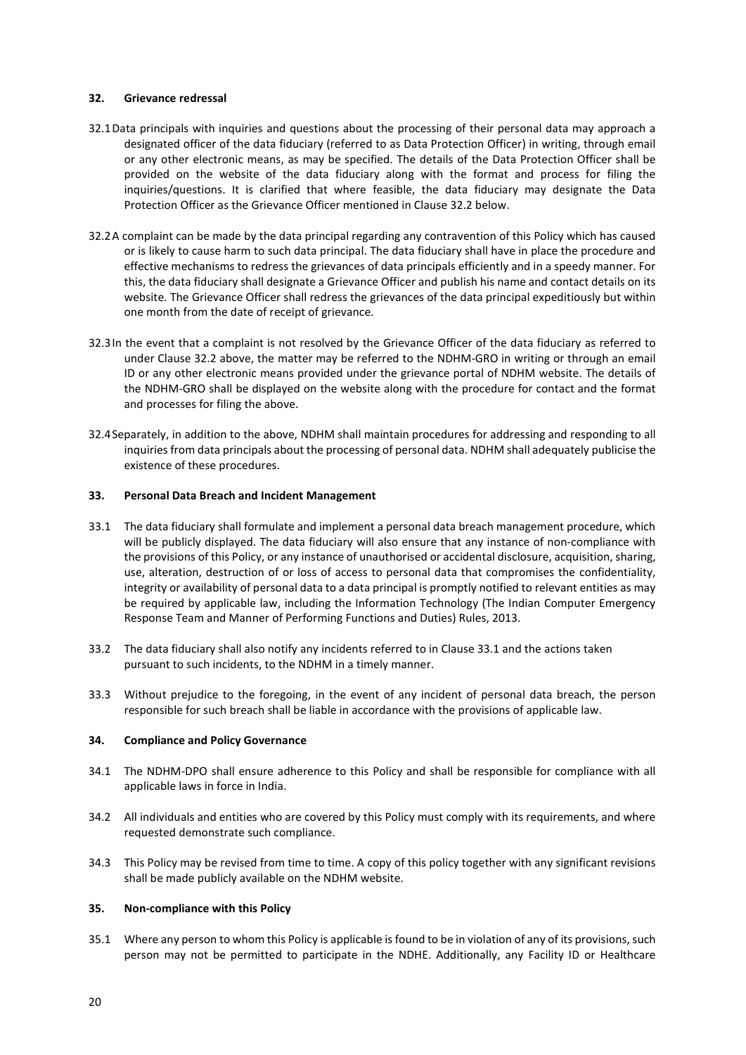### 32. Grievance redressal

- 32.1Data principals with inquiries and questions about the processing of their personal data may approach a designated officer of the data fiduciary (referred to as Data Protection Officer) in writing, through email or any other electronic means, as may be specified. The details of the Data Protection Officer shall be provided on the website of the data fiduciary along with the format and process for filing the inquiries/questions. It is clarified that where feasible, the data fiduciary may designate the Data Protection Officer as the Grievance Officer mentioned in Clause 32.2 below.
- 32.2A complaint can be made by the data principal regarding any contravention of this Policy which has caused or is likely to cause harm to such data principal. The data fiduciary shall have in place the procedure and effective mechanisms to redress the grievances of data principals efficiently and in a speedy manner. For this, the data fiduciary shall designate a Grievance Officer and publish his name and contact details on its website. The Grievance Officer shall redress the grievances of the data principal expeditiously but within one month from the date of receipt of grievance.
- 32.3In the event that a complaint is not resolved by the Grievance Officer of the data fiduciary as referred to under Clause 32.2 above, the matter may be referred to the NDHM-GRO in writing or through an email ID or any other electronic means provided under the grievance portal of NDHM website. The details of the NDHM-GRO shall be displayed on the website along with the procedure for contact and the format and processes for filing the above.
- 32.4Separately, in addition to the above, NDHM shall maintain procedures for addressing and responding to all inquiries from data principals about the processing of personal data. NDHM shall adequately publicise the existence of these procedures.

### 33. Personal Data Breach and Incident Management

- 33.1 The data fiduciary shall formulate and implement a personal data breach management procedure, which will be publicly displayed. The data fiduciary will also ensure that any instance of non-compliance with the provisions of this Policy, or any instance of unauthorised or accidental disclosure, acquisition, sharing, use, alteration, destruction of or loss of access to personal data that compromises the confidentiality, integrity or availability of personal data to a data principal is promptly notified to relevant entities as may be required by applicable law, including the Information Technology (The Indian Computer Emergency Response Team and Manner of Performing Functions and Duties) Rules, 2013.
- 33.2 The data fiduciary shall also notify any incidents referred to in Clause 33.1 and the actions taken pursuant to such incidents, to the NDHM in a timely manner.
- 33.3 Without prejudice to the foregoing, in the event of any incident of personal data breach, the person responsible for such breach shall be liable in accordance with the provisions of applicable law.

#### 34. Compliance and Policy Governance

- 34.1 The NDHM-DPO shall ensure adherence to this Policy and shall be responsible for compliance with all applicable laws in force in India.
- 34.2 All individuals and entities who are covered by this Policy must comply with its requirements, and where requested demonstrate such compliance.
- 34.3 This Policy may be revised from time to time. A copy of this policy together with any significant revisions shall be made publicly available on the NDHM website.

### 35. Non-compliance with this Policy

35.1 Where any person to whom this Policy is applicable is found to be in violation of any of its provisions, such person may not be permitted to participate in the NDHE. Additionally, any Facility ID or Healthcare